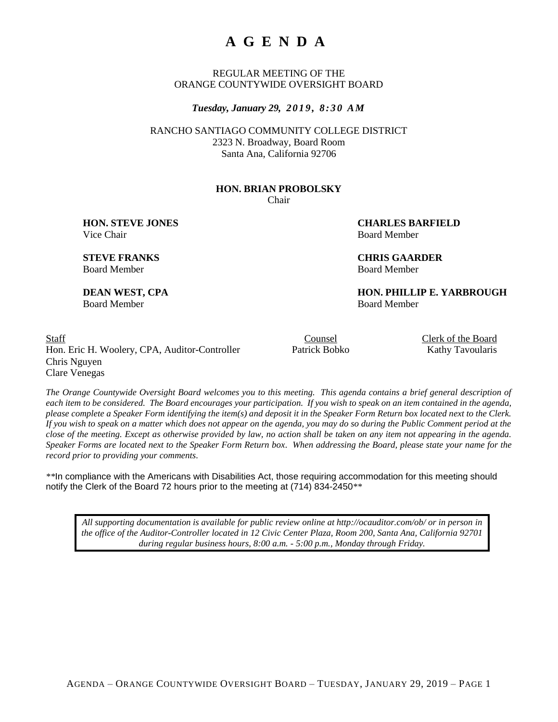# **A G E N D A**

REGULAR MEETING OF THE ORANGE COUNTYWIDE OVERSIGHT BOARD

*Tuesday, January 29, 2 0 1 9 , 8 : 3 0 A M*

RANCHO SANTIAGO COMMUNITY COLLEGE DISTRICT 2323 N. Broadway, Board Room Santa Ana, California 92706

#### **HON. BRIAN PROBOLSKY** Chair

Vice Chair **Board Member** Board Member

**HON. STEVE JONES CHARLES BARFIELD**

**STEVE FRANKS CHRIS GAARDER** Board Member Board Member

**DEAN WEST, CPA HON. PHILLIP E. YARBROUGH** Board Member Board Member

Staff Counsel Counsel Counsel Clerk of the Board Hon. Eric H. Woolery, CPA, Auditor-Controller Patrick Bobko Kathy Tavoularis Chris Nguyen Clare Venegas

*The Orange Countywide Oversight Board welcomes you to this meeting. This agenda contains a brief general description of each item to be considered. The Board encourages your participation. If you wish to speak on an item contained in the agenda, please complete a Speaker Form identifying the item(s) and deposit it in the Speaker Form Return box located next to the Clerk. If you wish to speak on a matter which does not appear on the agenda, you may do so during the Public Comment period at the close of the meeting. Except as otherwise provided by law, no action shall be taken on any item not appearing in the agenda. Speaker Forms are located next to the Speaker Form Return box. When addressing the Board, please state your name for the record prior to providing your comments.*

*\*\**In compliance with the Americans with Disabilities Act, those requiring accommodation for this meeting should notify the Clerk of the Board 72 hours prior to the meeting at (714) 834-2450*\*\**

*All supporting documentation is available for public review online at http://ocauditor.com/ob/ or in person in the office of the Auditor-Controller located in 12 Civic Center Plaza, Room 200, Santa Ana, California 92701 during regular business hours, 8:00 a.m. - 5:00 p.m., Monday through Friday.*